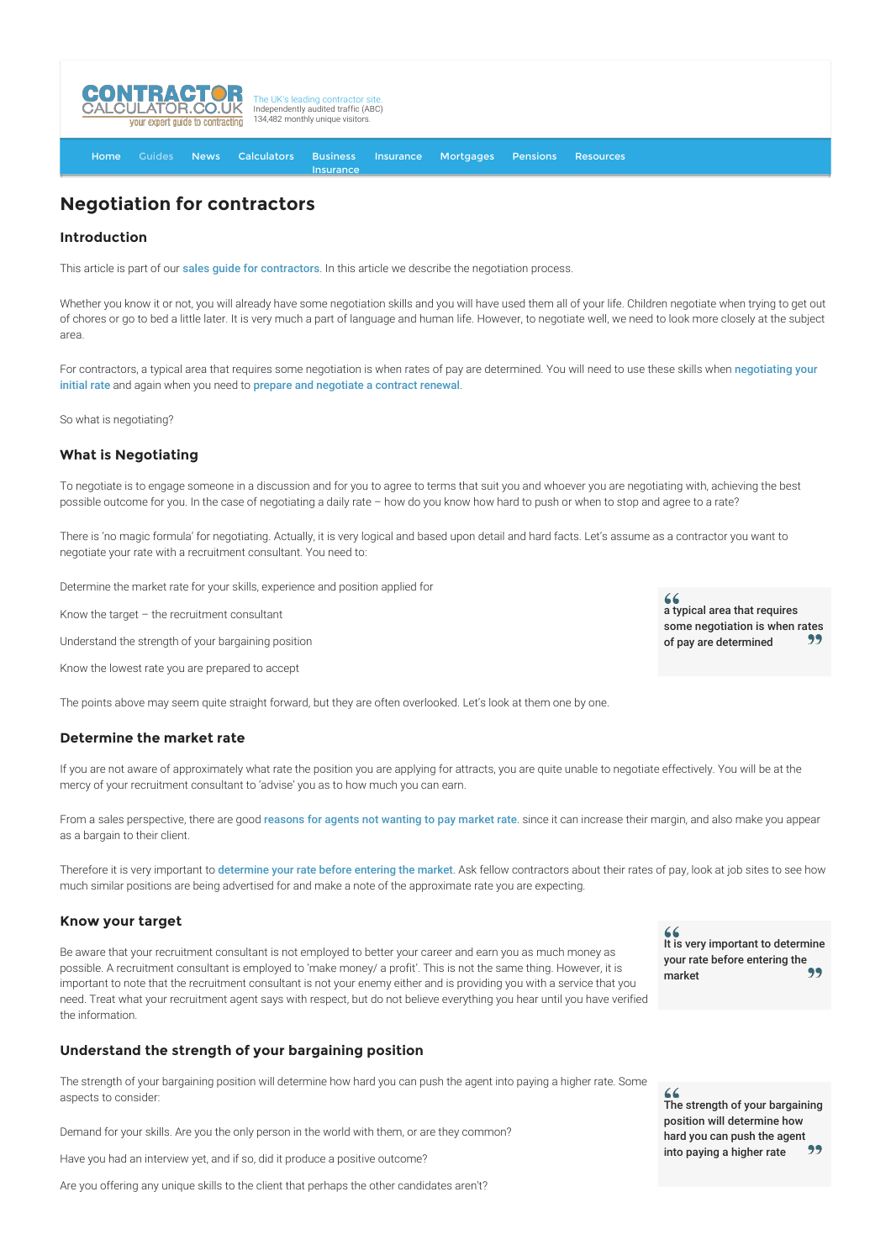

[Home](http://www.contractorcalculator.co.uk/) [Guides](http://www.contractorcalculator.co.uk/Articles.aspx) [News](http://www.contractorcalculator.co.uk/Contractor_News.aspx) [Calculators](http://www.contractorcalculator.co.uk/Calculators.aspx) Business **[Insurance](http://www.contractorcalculator.co.uk/Contractor_Insurances.aspx)** [Insurance](http://www.contractorcalculator.co.uk/Insurance.aspx) [Mortgages](http://www.contractorcalculator.co.uk/Contractor_Mortgages.aspx) [Pensions](http://www.contractorcalculator.co.uk/Contractor_Pensions.aspx) [Resources](http://www.contractorcalculator.co.uk/Contractor_Resources.aspx)

# **Negotiation for contractors**

# **Introduction**

This article is part of our [sales guide for contractors](http://www.contractorcalculator.co.uk/sales_for_contractors.aspx). In this article we describe the negotiation process.

Whether you know it or not, you will already have some negotiation skills and you will have used them all of your life. Children negotiate when trying to get out of chores or go to bed a little later. It is very much a part of language and human life. However, to negotiate well, we need to look more closely at the subject area.

[For contractors, a typical area that requires some negotiation is when rates of pay are determined. You will need to use these skills when](http://www.contractorcalculator.co.uk/negotiating_contract_rate.aspx) negotiating your initial rate and again when you need to [prepare and negotiate a contract renewal](http://www.contractorcalculator.co.uk/negotiating_contract_renewal.aspx).

So what is negotiating?

# **What is Negotiating**

To negotiate is to engage someone in a discussion and for you to agree to terms that suit you and whoever you are negotiating with, achieving the best possible outcome for you. In the case of negotiating a daily rate – how do you know how hard to push or when to stop and agree to a rate?

There is 'no magic formula' for negotiating. Actually, it is very logical and based upon detail and hard facts. Let's assume as a contractor you want to negotiate your rate with a recruitment consultant. You need to:

Determine the market rate for your skills, experience and position applied for

Know the target – the recruitment consultant

Understand the strength of your bargaining position

Know the lowest rate you are prepared to accept

The points above may seem quite straight forward, but they are often overlooked. Let's look at them one by one.

## **Determine the market rate**

If you are not aware of approximately what rate the position you are applying for attracts, you are quite unable to negotiate effectively. You will be at the mercy of your recruitment consultant to 'advise' you as to how much you can earn.

From a sales perspective, there are good [reasons for agents not wanting to pay market rate](http://www.contractorcalculator.co.uk/agents_contractors_rate.aspx). since it can increase their margin, and also make you appear as a bargain to their client.

Therefore it is very important to [determine your rate before entering the market](http://www.contractorcalculator.co.uk/determine_contract_rate_market.aspx). Ask fellow contractors about their rates of pay, look at job sites to see how much similar positions are being advertised for and make a note of the approximate rate you are expecting.

#### **Know your target**

Be aware that your recruitment consultant is not employed to better your career and earn you as much money as possible. A recruitment consultant is employed to 'make money/ a profit'. This is not the same thing. However, it is important to note that the recruitment consultant is not your enemy either and is providing you with a service that you need. Treat what your recruitment agent says with respect, but do not believe everything you hear until you have verified the information.

# **Understand the strength of your bargaining position**

The strength of your bargaining position will determine how hard you can push the agent into paying a higher rate. Some aspects to consider:

Demand for your skills. Are you the only person in the world with them, or are they common?

Have you had an interview yet, and if so, did it produce a positive outcome?

Are you offering any unique skills to the client that perhaps the other candidates aren't?

 $66$ a typical area that requires some negotiation is when rates<br>of new are determined of pay are determined

It is very important to determine your rate before entering the market

The strength of your bargaining position will determine how hard you can push the agent<br>into paying a higher rate into paying a higher rate